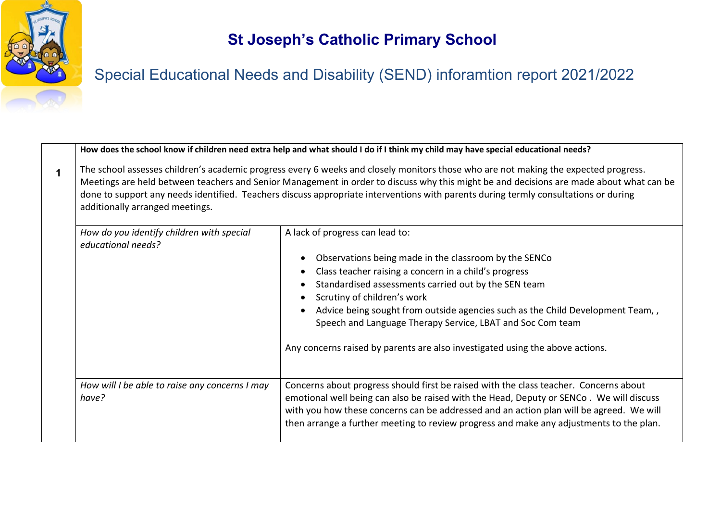

# Special Educational Needs and Disability (SEND) inforamtion report 2021/2022

|             |                                                                                                                                                                                                                                                                                                                                                                                                                                                          | How does the school know if children need extra help and what should I do if I think my child may have special educational needs?                                                                                                                                                                                                                                      |
|-------------|----------------------------------------------------------------------------------------------------------------------------------------------------------------------------------------------------------------------------------------------------------------------------------------------------------------------------------------------------------------------------------------------------------------------------------------------------------|------------------------------------------------------------------------------------------------------------------------------------------------------------------------------------------------------------------------------------------------------------------------------------------------------------------------------------------------------------------------|
| $\mathbf 1$ | The school assesses children's academic progress every 6 weeks and closely monitors those who are not making the expected progress.<br>Meetings are held between teachers and Senior Management in order to discuss why this might be and decisions are made about what can be<br>done to support any needs identified. Teachers discuss appropriate interventions with parents during termly consultations or during<br>additionally arranged meetings. |                                                                                                                                                                                                                                                                                                                                                                        |
|             | How do you identify children with special<br>educational needs?                                                                                                                                                                                                                                                                                                                                                                                          | A lack of progress can lead to:                                                                                                                                                                                                                                                                                                                                        |
|             |                                                                                                                                                                                                                                                                                                                                                                                                                                                          | Observations being made in the classroom by the SENCo<br>Class teacher raising a concern in a child's progress                                                                                                                                                                                                                                                         |
|             |                                                                                                                                                                                                                                                                                                                                                                                                                                                          | Standardised assessments carried out by the SEN team                                                                                                                                                                                                                                                                                                                   |
|             |                                                                                                                                                                                                                                                                                                                                                                                                                                                          | Scrutiny of children's work                                                                                                                                                                                                                                                                                                                                            |
|             |                                                                                                                                                                                                                                                                                                                                                                                                                                                          | Advice being sought from outside agencies such as the Child Development Team,,<br>Speech and Language Therapy Service, LBAT and Soc Com team                                                                                                                                                                                                                           |
|             |                                                                                                                                                                                                                                                                                                                                                                                                                                                          | Any concerns raised by parents are also investigated using the above actions.                                                                                                                                                                                                                                                                                          |
|             | How will I be able to raise any concerns I may<br>have?                                                                                                                                                                                                                                                                                                                                                                                                  | Concerns about progress should first be raised with the class teacher. Concerns about<br>emotional well being can also be raised with the Head, Deputy or SENCo. We will discuss<br>with you how these concerns can be addressed and an action plan will be agreed. We will<br>then arrange a further meeting to review progress and make any adjustments to the plan. |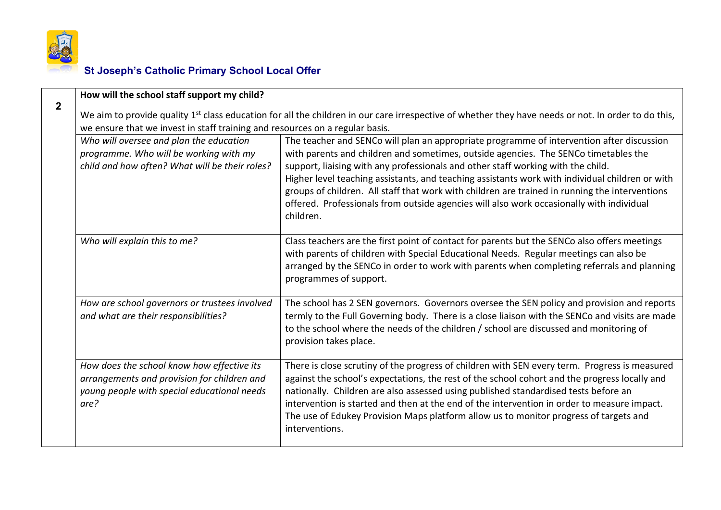

|                | How will the school staff support my child?                                                                                                                                                                                                     |                                                                                                                                                                                                                                                                                                                                                                                                                                                                                                                                                                                    |
|----------------|-------------------------------------------------------------------------------------------------------------------------------------------------------------------------------------------------------------------------------------------------|------------------------------------------------------------------------------------------------------------------------------------------------------------------------------------------------------------------------------------------------------------------------------------------------------------------------------------------------------------------------------------------------------------------------------------------------------------------------------------------------------------------------------------------------------------------------------------|
| $\overline{2}$ | We aim to provide quality 1 <sup>st</sup> class education for all the children in our care irrespective of whether they have needs or not. In order to do this,<br>we ensure that we invest in staff training and resources on a regular basis. |                                                                                                                                                                                                                                                                                                                                                                                                                                                                                                                                                                                    |
|                | Who will oversee and plan the education<br>programme. Who will be working with my<br>child and how often? What will be their roles?                                                                                                             | The teacher and SENCo will plan an appropriate programme of intervention after discussion<br>with parents and children and sometimes, outside agencies. The SENCo timetables the<br>support, liaising with any professionals and other staff working with the child.<br>Higher level teaching assistants, and teaching assistants work with individual children or with<br>groups of children. All staff that work with children are trained in running the interventions<br>offered. Professionals from outside agencies will also work occasionally with individual<br>children. |
|                | Who will explain this to me?                                                                                                                                                                                                                    | Class teachers are the first point of contact for parents but the SENCo also offers meetings<br>with parents of children with Special Educational Needs. Regular meetings can also be<br>arranged by the SENCo in order to work with parents when completing referrals and planning<br>programmes of support.                                                                                                                                                                                                                                                                      |
|                | How are school governors or trustees involved<br>and what are their responsibilities?                                                                                                                                                           | The school has 2 SEN governors. Governors oversee the SEN policy and provision and reports<br>termly to the Full Governing body. There is a close liaison with the SENCo and visits are made<br>to the school where the needs of the children / school are discussed and monitoring of<br>provision takes place.                                                                                                                                                                                                                                                                   |
|                | How does the school know how effective its<br>arrangements and provision for children and<br>young people with special educational needs<br>are?                                                                                                | There is close scrutiny of the progress of children with SEN every term. Progress is measured<br>against the school's expectations, the rest of the school cohort and the progress locally and<br>nationally. Children are also assessed using published standardised tests before an<br>intervention is started and then at the end of the intervention in order to measure impact.<br>The use of Edukey Provision Maps platform allow us to monitor progress of targets and<br>interventions.                                                                                    |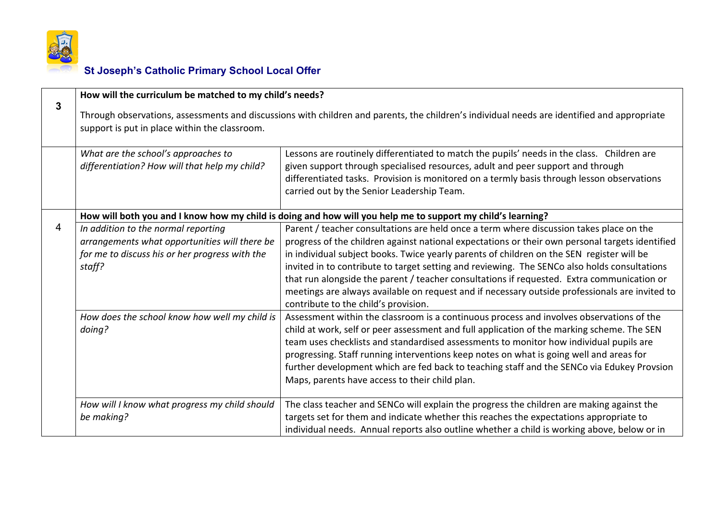

|   | How will the curriculum be matched to my child's needs?                                                                                                                                      |                                                                                                                                                                                                                                                                                                                                                                                                                                                                                                                                                                                                                                 |
|---|----------------------------------------------------------------------------------------------------------------------------------------------------------------------------------------------|---------------------------------------------------------------------------------------------------------------------------------------------------------------------------------------------------------------------------------------------------------------------------------------------------------------------------------------------------------------------------------------------------------------------------------------------------------------------------------------------------------------------------------------------------------------------------------------------------------------------------------|
| 3 | Through observations, assessments and discussions with children and parents, the children's individual needs are identified and appropriate<br>support is put in place within the classroom. |                                                                                                                                                                                                                                                                                                                                                                                                                                                                                                                                                                                                                                 |
|   | What are the school's approaches to<br>differentiation? How will that help my child?                                                                                                         | Lessons are routinely differentiated to match the pupils' needs in the class. Children are<br>given support through specialised resources, adult and peer support and through<br>differentiated tasks. Provision is monitored on a termly basis through lesson observations<br>carried out by the Senior Leadership Team.                                                                                                                                                                                                                                                                                                       |
|   |                                                                                                                                                                                              | How will both you and I know how my child is doing and how will you help me to support my child's learning?                                                                                                                                                                                                                                                                                                                                                                                                                                                                                                                     |
| 4 | In addition to the normal reporting<br>arrangements what opportunities will there be<br>for me to discuss his or her progress with the<br>staff?                                             | Parent / teacher consultations are held once a term where discussion takes place on the<br>progress of the children against national expectations or their own personal targets identified<br>in individual subject books. Twice yearly parents of children on the SEN register will be<br>invited in to contribute to target setting and reviewing. The SENCo also holds consultations<br>that run alongside the parent / teacher consultations if requested. Extra communication or<br>meetings are always available on request and if necessary outside professionals are invited to<br>contribute to the child's provision. |
|   | How does the school know how well my child is<br>doing?                                                                                                                                      | Assessment within the classroom is a continuous process and involves observations of the<br>child at work, self or peer assessment and full application of the marking scheme. The SEN<br>team uses checklists and standardised assessments to monitor how individual pupils are<br>progressing. Staff running interventions keep notes on what is going well and areas for<br>further development which are fed back to teaching staff and the SENCo via Edukey Provsion<br>Maps, parents have access to their child plan.                                                                                                     |
|   | How will I know what progress my child should<br>be making?                                                                                                                                  | The class teacher and SENCo will explain the progress the children are making against the<br>targets set for them and indicate whether this reaches the expectations appropriate to<br>individual needs. Annual reports also outline whether a child is working above, below or in                                                                                                                                                                                                                                                                                                                                              |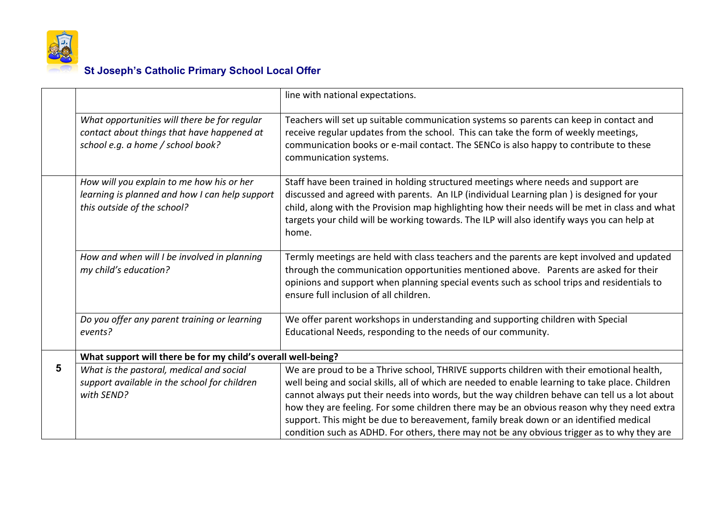

|   |                                                                                                                                 | line with national expectations.                                                                                                                                                                                                                                                                                                                                                                                                                                                                                                                                                     |
|---|---------------------------------------------------------------------------------------------------------------------------------|--------------------------------------------------------------------------------------------------------------------------------------------------------------------------------------------------------------------------------------------------------------------------------------------------------------------------------------------------------------------------------------------------------------------------------------------------------------------------------------------------------------------------------------------------------------------------------------|
|   | What opportunities will there be for regular<br>contact about things that have happened at<br>school e.g. a home / school book? | Teachers will set up suitable communication systems so parents can keep in contact and<br>receive regular updates from the school. This can take the form of weekly meetings,<br>communication books or e-mail contact. The SENCo is also happy to contribute to these<br>communication systems.                                                                                                                                                                                                                                                                                     |
|   | How will you explain to me how his or her<br>learning is planned and how I can help support<br>this outside of the school?      | Staff have been trained in holding structured meetings where needs and support are<br>discussed and agreed with parents. An ILP (individual Learning plan) is designed for your<br>child, along with the Provision map highlighting how their needs will be met in class and what<br>targets your child will be working towards. The ILP will also identify ways you can help at<br>home.                                                                                                                                                                                            |
|   | How and when will I be involved in planning<br>my child's education?                                                            | Termly meetings are held with class teachers and the parents are kept involved and updated<br>through the communication opportunities mentioned above. Parents are asked for their<br>opinions and support when planning special events such as school trips and residentials to<br>ensure full inclusion of all children.                                                                                                                                                                                                                                                           |
|   | Do you offer any parent training or learning<br>events?                                                                         | We offer parent workshops in understanding and supporting children with Special<br>Educational Needs, responding to the needs of our community.                                                                                                                                                                                                                                                                                                                                                                                                                                      |
|   | What support will there be for my child's overall well-being?                                                                   |                                                                                                                                                                                                                                                                                                                                                                                                                                                                                                                                                                                      |
| 5 | What is the pastoral, medical and social<br>support available in the school for children<br>with SEND?                          | We are proud to be a Thrive school, THRIVE supports children with their emotional health,<br>well being and social skills, all of which are needed to enable learning to take place. Children<br>cannot always put their needs into words, but the way children behave can tell us a lot about<br>how they are feeling. For some children there may be an obvious reason why they need extra<br>support. This might be due to bereavement, family break down or an identified medical<br>condition such as ADHD. For others, there may not be any obvious trigger as to why they are |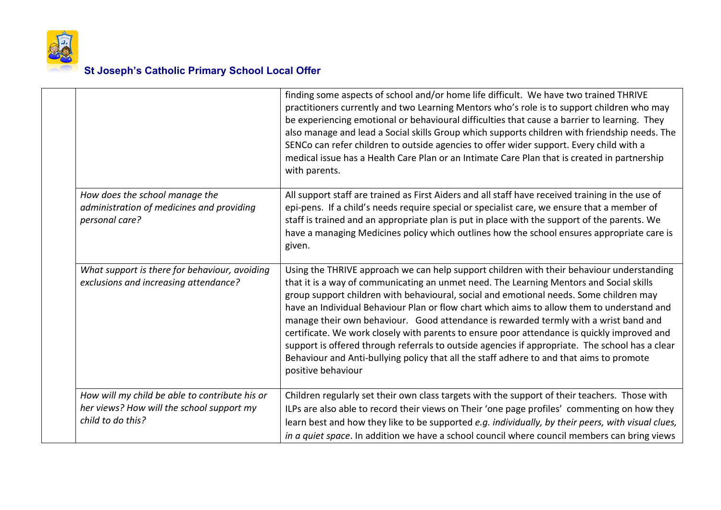

|                                                                                                                  | finding some aspects of school and/or home life difficult. We have two trained THRIVE<br>practitioners currently and two Learning Mentors who's role is to support children who may<br>be experiencing emotional or behavioural difficulties that cause a barrier to learning. They<br>also manage and lead a Social skills Group which supports children with friendship needs. The<br>SENCo can refer children to outside agencies to offer wider support. Every child with a<br>medical issue has a Health Care Plan or an Intimate Care Plan that is created in partnership<br>with parents.                                                                                                                                                                                         |
|------------------------------------------------------------------------------------------------------------------|------------------------------------------------------------------------------------------------------------------------------------------------------------------------------------------------------------------------------------------------------------------------------------------------------------------------------------------------------------------------------------------------------------------------------------------------------------------------------------------------------------------------------------------------------------------------------------------------------------------------------------------------------------------------------------------------------------------------------------------------------------------------------------------|
| How does the school manage the<br>administration of medicines and providing<br>personal care?                    | All support staff are trained as First Aiders and all staff have received training in the use of<br>epi-pens. If a child's needs require special or specialist care, we ensure that a member of<br>staff is trained and an appropriate plan is put in place with the support of the parents. We<br>have a managing Medicines policy which outlines how the school ensures appropriate care is<br>given.                                                                                                                                                                                                                                                                                                                                                                                  |
| What support is there for behaviour, avoiding<br>exclusions and increasing attendance?                           | Using the THRIVE approach we can help support children with their behaviour understanding<br>that it is a way of communicating an unmet need. The Learning Mentors and Social skills<br>group support children with behavioural, social and emotional needs. Some children may<br>have an Individual Behaviour Plan or flow chart which aims to allow them to understand and<br>manage their own behaviour. Good attendance is rewarded termly with a wrist band and<br>certificate. We work closely with parents to ensure poor attendance is quickly improved and<br>support is offered through referrals to outside agencies if appropriate. The school has a clear<br>Behaviour and Anti-bullying policy that all the staff adhere to and that aims to promote<br>positive behaviour |
| How will my child be able to contribute his or<br>her views? How will the school support my<br>child to do this? | Children regularly set their own class targets with the support of their teachers. Those with<br>ILPs are also able to record their views on Their 'one page profiles' commenting on how they<br>learn best and how they like to be supported e.g. individually, by their peers, with visual clues,<br>in a quiet space. In addition we have a school council where council members can bring views                                                                                                                                                                                                                                                                                                                                                                                      |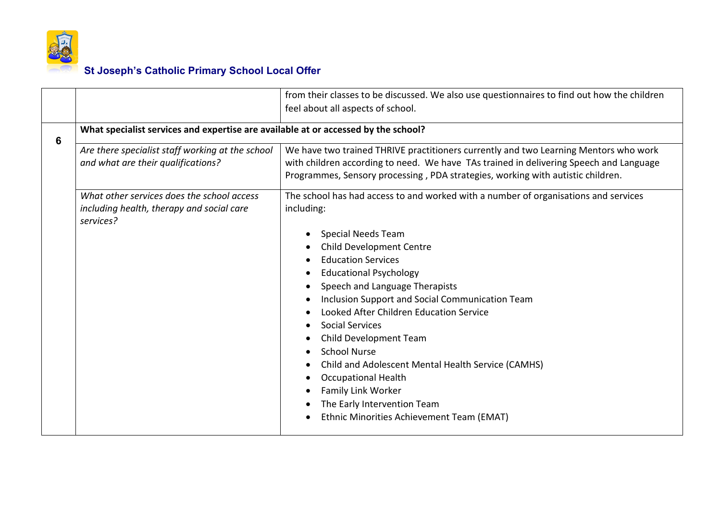

|   |                                                                                    | from their classes to be discussed. We also use questionnaires to find out how the children |
|---|------------------------------------------------------------------------------------|---------------------------------------------------------------------------------------------|
|   |                                                                                    | feel about all aspects of school.                                                           |
|   | What specialist services and expertise are available at or accessed by the school? |                                                                                             |
| 6 |                                                                                    |                                                                                             |
|   | Are there specialist staff working at the school                                   | We have two trained THRIVE practitioners currently and two Learning Mentors who work        |
|   | and what are their qualifications?                                                 | with children according to need. We have TAs trained in delivering Speech and Language      |
|   |                                                                                    | Programmes, Sensory processing, PDA strategies, working with autistic children.             |
|   | What other services does the school access                                         | The school has had access to and worked with a number of organisations and services         |
|   | including health, therapy and social care                                          | including:                                                                                  |
|   | services?                                                                          |                                                                                             |
|   |                                                                                    | <b>Special Needs Team</b>                                                                   |
|   |                                                                                    | Child Development Centre                                                                    |
|   |                                                                                    | <b>Education Services</b>                                                                   |
|   |                                                                                    | <b>Educational Psychology</b>                                                               |
|   |                                                                                    | Speech and Language Therapists                                                              |
|   |                                                                                    | Inclusion Support and Social Communication Team                                             |
|   |                                                                                    | Looked After Children Education Service                                                     |
|   |                                                                                    | <b>Social Services</b>                                                                      |
|   |                                                                                    | Child Development Team                                                                      |
|   |                                                                                    | <b>School Nurse</b>                                                                         |
|   |                                                                                    | Child and Adolescent Mental Health Service (CAMHS)                                          |
|   |                                                                                    | <b>Occupational Health</b>                                                                  |
|   |                                                                                    | Family Link Worker                                                                          |
|   |                                                                                    | The Early Intervention Team                                                                 |
|   |                                                                                    | Ethnic Minorities Achievement Team (EMAT)                                                   |
|   |                                                                                    |                                                                                             |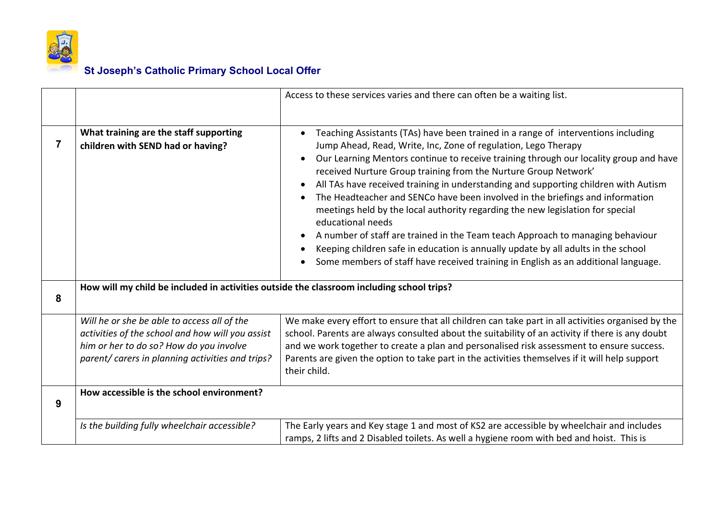

|   |                                                                                                                                                                                                | Access to these services varies and there can often be a waiting list.                                                                                                                                                                                                                                                                                                                                                                                                                                                                                                                                                                                                                                                                                                                                                                                                   |
|---|------------------------------------------------------------------------------------------------------------------------------------------------------------------------------------------------|--------------------------------------------------------------------------------------------------------------------------------------------------------------------------------------------------------------------------------------------------------------------------------------------------------------------------------------------------------------------------------------------------------------------------------------------------------------------------------------------------------------------------------------------------------------------------------------------------------------------------------------------------------------------------------------------------------------------------------------------------------------------------------------------------------------------------------------------------------------------------|
|   |                                                                                                                                                                                                |                                                                                                                                                                                                                                                                                                                                                                                                                                                                                                                                                                                                                                                                                                                                                                                                                                                                          |
|   | What training are the staff supporting<br>children with SEND had or having?                                                                                                                    | Teaching Assistants (TAs) have been trained in a range of interventions including<br>Jump Ahead, Read, Write, Inc, Zone of regulation, Lego Therapy<br>Our Learning Mentors continue to receive training through our locality group and have<br>$\bullet$<br>received Nurture Group training from the Nurture Group Network'<br>All TAs have received training in understanding and supporting children with Autism<br>The Headteacher and SENCo have been involved in the briefings and information<br>meetings held by the local authority regarding the new legislation for special<br>educational needs<br>A number of staff are trained in the Team teach Approach to managing behaviour<br>Keeping children safe in education is annually update by all adults in the school<br>Some members of staff have received training in English as an additional language. |
| 8 | How will my child be included in activities outside the classroom including school trips?                                                                                                      |                                                                                                                                                                                                                                                                                                                                                                                                                                                                                                                                                                                                                                                                                                                                                                                                                                                                          |
|   | Will he or she be able to access all of the<br>activities of the school and how will you assist<br>him or her to do so? How do you involve<br>parent/ carers in planning activities and trips? | We make every effort to ensure that all children can take part in all activities organised by the<br>school. Parents are always consulted about the suitability of an activity if there is any doubt<br>and we work together to create a plan and personalised risk assessment to ensure success.<br>Parents are given the option to take part in the activities themselves if it will help support<br>their child.                                                                                                                                                                                                                                                                                                                                                                                                                                                      |
| 9 | How accessible is the school environment?                                                                                                                                                      |                                                                                                                                                                                                                                                                                                                                                                                                                                                                                                                                                                                                                                                                                                                                                                                                                                                                          |
|   | Is the building fully wheelchair accessible?                                                                                                                                                   | The Early years and Key stage 1 and most of KS2 are accessible by wheelchair and includes<br>ramps, 2 lifts and 2 Disabled toilets. As well a hygiene room with bed and hoist. This is                                                                                                                                                                                                                                                                                                                                                                                                                                                                                                                                                                                                                                                                                   |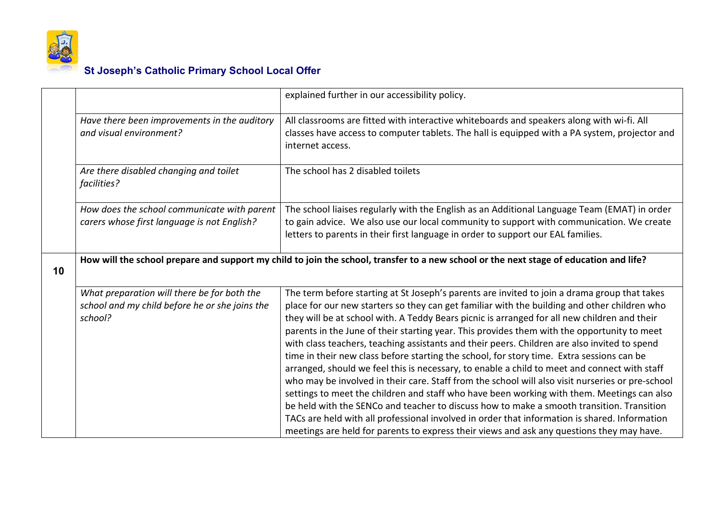

|    |                                                                                                          | explained further in our accessibility policy.                                                                                                                                                                                                                                                                                                                                                                                                                                                                                                                                                                                                                                                                                                                                                                                                                                                                                                                                                                                                                                                                                                                                        |
|----|----------------------------------------------------------------------------------------------------------|---------------------------------------------------------------------------------------------------------------------------------------------------------------------------------------------------------------------------------------------------------------------------------------------------------------------------------------------------------------------------------------------------------------------------------------------------------------------------------------------------------------------------------------------------------------------------------------------------------------------------------------------------------------------------------------------------------------------------------------------------------------------------------------------------------------------------------------------------------------------------------------------------------------------------------------------------------------------------------------------------------------------------------------------------------------------------------------------------------------------------------------------------------------------------------------|
|    | Have there been improvements in the auditory<br>and visual environment?                                  | All classrooms are fitted with interactive whiteboards and speakers along with wi-fi. All<br>classes have access to computer tablets. The hall is equipped with a PA system, projector and<br>internet access.                                                                                                                                                                                                                                                                                                                                                                                                                                                                                                                                                                                                                                                                                                                                                                                                                                                                                                                                                                        |
|    | Are there disabled changing and toilet<br>facilities?                                                    | The school has 2 disabled toilets                                                                                                                                                                                                                                                                                                                                                                                                                                                                                                                                                                                                                                                                                                                                                                                                                                                                                                                                                                                                                                                                                                                                                     |
|    | How does the school communicate with parent<br>carers whose first language is not English?               | The school liaises regularly with the English as an Additional Language Team (EMAT) in order<br>to gain advice. We also use our local community to support with communication. We create<br>letters to parents in their first language in order to support our EAL families.                                                                                                                                                                                                                                                                                                                                                                                                                                                                                                                                                                                                                                                                                                                                                                                                                                                                                                          |
| 10 |                                                                                                          | How will the school prepare and support my child to join the school, transfer to a new school or the next stage of education and life?                                                                                                                                                                                                                                                                                                                                                                                                                                                                                                                                                                                                                                                                                                                                                                                                                                                                                                                                                                                                                                                |
|    | What preparation will there be for both the<br>school and my child before he or she joins the<br>school? | The term before starting at St Joseph's parents are invited to join a drama group that takes<br>place for our new starters so they can get familiar with the building and other children who<br>they will be at school with. A Teddy Bears picnic is arranged for all new children and their<br>parents in the June of their starting year. This provides them with the opportunity to meet<br>with class teachers, teaching assistants and their peers. Children are also invited to spend<br>time in their new class before starting the school, for story time. Extra sessions can be<br>arranged, should we feel this is necessary, to enable a child to meet and connect with staff<br>who may be involved in their care. Staff from the school will also visit nurseries or pre-school<br>settings to meet the children and staff who have been working with them. Meetings can also<br>be held with the SENCo and teacher to discuss how to make a smooth transition. Transition<br>TACs are held with all professional involved in order that information is shared. Information<br>meetings are held for parents to express their views and ask any questions they may have. |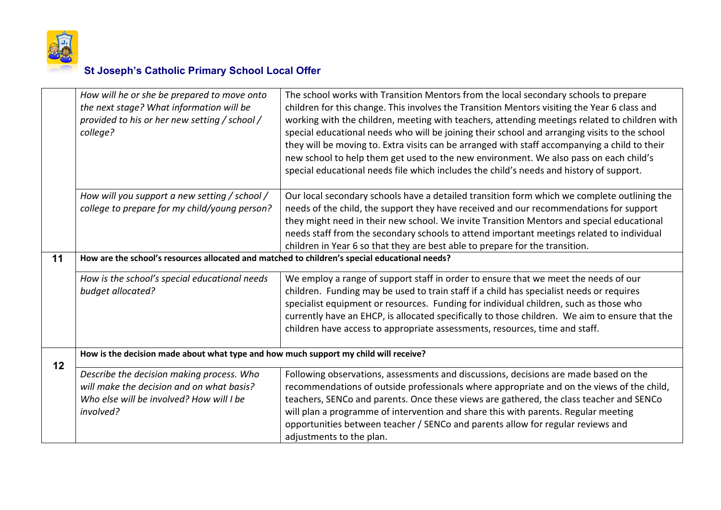

|    | How will he or she be prepared to move onto<br>the next stage? What information will be<br>provided to his or her new setting / school /<br>college? | The school works with Transition Mentors from the local secondary schools to prepare<br>children for this change. This involves the Transition Mentors visiting the Year 6 class and<br>working with the children, meeting with teachers, attending meetings related to children with<br>special educational needs who will be joining their school and arranging visits to the school<br>they will be moving to. Extra visits can be arranged with staff accompanying a child to their<br>new school to help them get used to the new environment. We also pass on each child's<br>special educational needs file which includes the child's needs and history of support. |
|----|------------------------------------------------------------------------------------------------------------------------------------------------------|-----------------------------------------------------------------------------------------------------------------------------------------------------------------------------------------------------------------------------------------------------------------------------------------------------------------------------------------------------------------------------------------------------------------------------------------------------------------------------------------------------------------------------------------------------------------------------------------------------------------------------------------------------------------------------|
|    | How will you support a new setting / school /<br>college to prepare for my child/young person?                                                       | Our local secondary schools have a detailed transition form which we complete outlining the<br>needs of the child, the support they have received and our recommendations for support<br>they might need in their new school. We invite Transition Mentors and special educational<br>needs staff from the secondary schools to attend important meetings related to individual<br>children in Year 6 so that they are best able to prepare for the transition.                                                                                                                                                                                                             |
| 11 | How are the school's resources allocated and matched to children's special educational needs?                                                        |                                                                                                                                                                                                                                                                                                                                                                                                                                                                                                                                                                                                                                                                             |
|    | How is the school's special educational needs<br>budget allocated?                                                                                   | We employ a range of support staff in order to ensure that we meet the needs of our<br>children. Funding may be used to train staff if a child has specialist needs or requires<br>specialist equipment or resources. Funding for individual children, such as those who<br>currently have an EHCP, is allocated specifically to those children. We aim to ensure that the<br>children have access to appropriate assessments, resources, time and staff.                                                                                                                                                                                                                   |
| 12 | How is the decision made about what type and how much support my child will receive?                                                                 |                                                                                                                                                                                                                                                                                                                                                                                                                                                                                                                                                                                                                                                                             |
|    | Describe the decision making process. Who<br>will make the decision and on what basis?<br>Who else will be involved? How will I be<br>involved?      | Following observations, assessments and discussions, decisions are made based on the<br>recommendations of outside professionals where appropriate and on the views of the child,<br>teachers, SENCo and parents. Once these views are gathered, the class teacher and SENCo<br>will plan a programme of intervention and share this with parents. Regular meeting<br>opportunities between teacher / SENCo and parents allow for regular reviews and<br>adjustments to the plan.                                                                                                                                                                                           |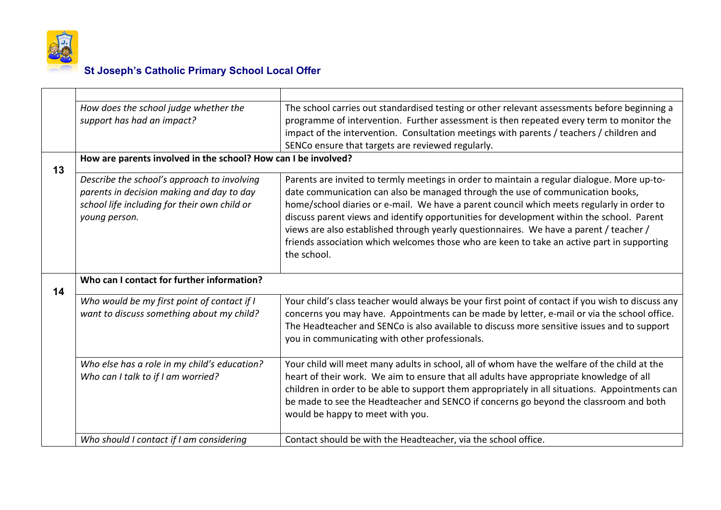

|                                                  | How does the school judge whether the                                                                                                                     | The school carries out standardised testing or other relevant assessments before beginning a                                                                                                                                                                                                                                                                                                                                                                                                                                                                                   |
|--------------------------------------------------|-----------------------------------------------------------------------------------------------------------------------------------------------------------|--------------------------------------------------------------------------------------------------------------------------------------------------------------------------------------------------------------------------------------------------------------------------------------------------------------------------------------------------------------------------------------------------------------------------------------------------------------------------------------------------------------------------------------------------------------------------------|
|                                                  | support has had an impact?                                                                                                                                | programme of intervention. Further assessment is then repeated every term to monitor the<br>impact of the intervention. Consultation meetings with parents / teachers / children and<br>SENCo ensure that targets are reviewed regularly.                                                                                                                                                                                                                                                                                                                                      |
| 13                                               | How are parents involved in the school? How can I be involved?                                                                                            |                                                                                                                                                                                                                                                                                                                                                                                                                                                                                                                                                                                |
|                                                  | Describe the school's approach to involving<br>parents in decision making and day to day<br>school life including for their own child or<br>young person. | Parents are invited to termly meetings in order to maintain a regular dialogue. More up-to-<br>date communication can also be managed through the use of communication books,<br>home/school diaries or e-mail. We have a parent council which meets regularly in order to<br>discuss parent views and identify opportunities for development within the school. Parent<br>views are also established through yearly questionnaires. We have a parent / teacher /<br>friends association which welcomes those who are keen to take an active part in supporting<br>the school. |
| Who can I contact for further information?<br>14 |                                                                                                                                                           |                                                                                                                                                                                                                                                                                                                                                                                                                                                                                                                                                                                |
|                                                  | Who would be my first point of contact if I<br>want to discuss something about my child?                                                                  | Your child's class teacher would always be your first point of contact if you wish to discuss any<br>concerns you may have. Appointments can be made by letter, e-mail or via the school office.<br>The Headteacher and SENCo is also available to discuss more sensitive issues and to support<br>you in communicating with other professionals.                                                                                                                                                                                                                              |
|                                                  | Who else has a role in my child's education?<br>Who can I talk to if I am worried?                                                                        | Your child will meet many adults in school, all of whom have the welfare of the child at the<br>heart of their work. We aim to ensure that all adults have appropriate knowledge of all<br>children in order to be able to support them appropriately in all situations. Appointments can<br>be made to see the Headteacher and SENCO if concerns go beyond the classroom and both<br>would be happy to meet with you.                                                                                                                                                         |
|                                                  | Who should I contact if I am considering                                                                                                                  | Contact should be with the Headteacher, via the school office.                                                                                                                                                                                                                                                                                                                                                                                                                                                                                                                 |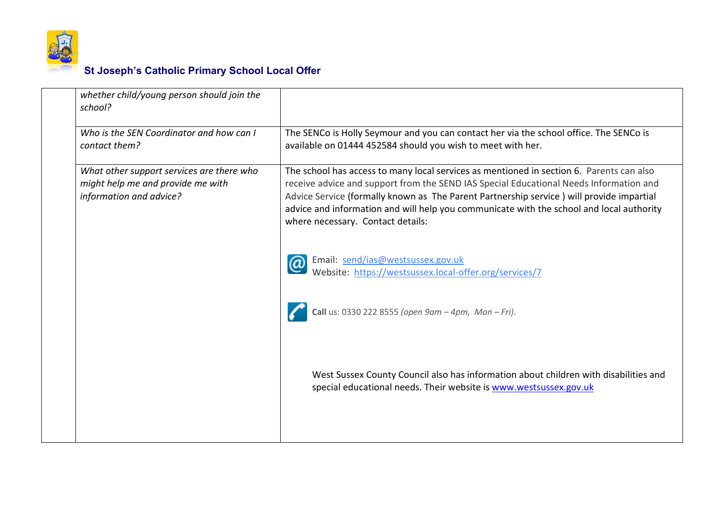

| whether child/young person should join the<br>school?                                                     |                                                                                                                                                                                                                                                                                                                                                                                                                 |
|-----------------------------------------------------------------------------------------------------------|-----------------------------------------------------------------------------------------------------------------------------------------------------------------------------------------------------------------------------------------------------------------------------------------------------------------------------------------------------------------------------------------------------------------|
| Who is the SEN Coordinator and how can I<br>contact them?                                                 | The SENCo is Holly Seymour and you can contact her via the school office. The SENCo is<br>available on 01444 452584 should you wish to meet with her.                                                                                                                                                                                                                                                           |
| What other support services are there who<br>might help me and provide me with<br>information and advice? | The school has access to many local services as mentioned in section 6. Parents can also<br>receive advice and support from the SEND IAS Special Educational Needs Information and<br>Advice Service (formally known as The Parent Partnership service) will provide impartial<br>advice and information and will help you communicate with the school and local authority<br>where necessary. Contact details: |
|                                                                                                           | Email: send/ias@westsussex.gov.uk<br>Website: https://westsussex.local-offer.org/services/7                                                                                                                                                                                                                                                                                                                     |
|                                                                                                           | Call us: 0330 222 8555 (open $9am - 4pm$ , Mon-Fri).                                                                                                                                                                                                                                                                                                                                                            |
|                                                                                                           | West Sussex County Council also has information about children with disabilities and<br>special educational needs. Their website is www.westsussex.gov.uk                                                                                                                                                                                                                                                       |